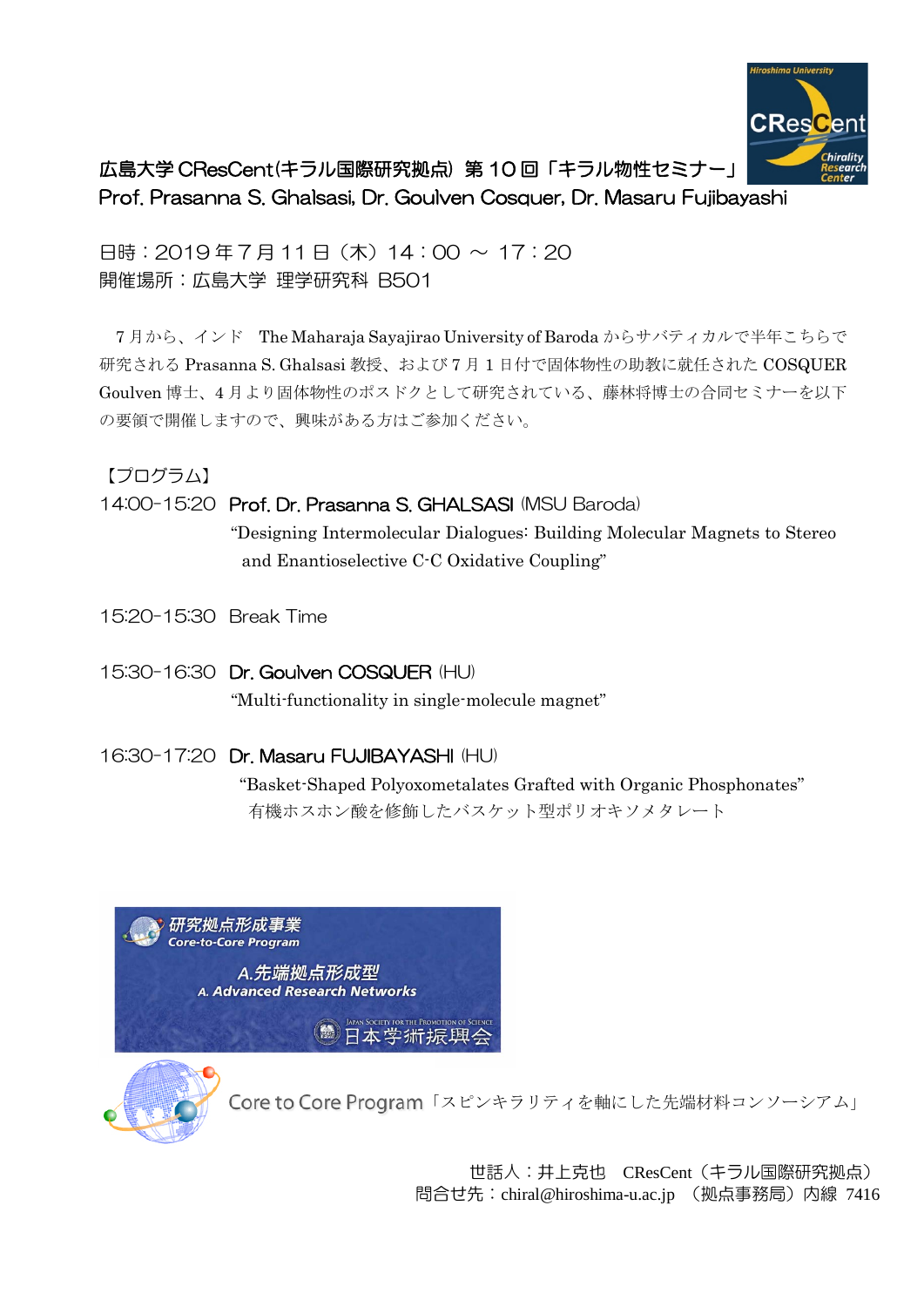

# 広島大学 CResCent(キラル国際研究拠点) 第 10 回「キラル物性セミナー」 Prof. Prasanna S. Ghalsasi, Dr. Goulven Cosquer, Dr. Masaru Fujibayashi

日時: 2019年7月11日 (木) 14:00 ~ 17:20 開催場所:広島大学 理学研究科 B501

7 月から、インド The Maharaja Sayajirao University of Baroda からサバティカルで半年こちらで 研究される Prasanna S. Ghalsasi 教授、および 7 月 1 日付で固体物性の助教に就任された COSQUER Goulven 博士、4 月より固体物性のポスドクとして研究されている、藤林将博士の合同セミナーを以下 の要領で開催しますので、興味がある方はご参加ください。

【プログラム】

## 14:00-15:20 Prof. Dr. Prasanna S. GHALSASI (MSU Baroda)

"Designing Intermolecular Dialogues: Building Molecular Magnets to Stereo and Enantioselective C-C Oxidative Coupling"

15:20-15:30 Break Time

## 15:30-16:30 Dr. Goulven COSQUER (HU)

"Multi-functionality in single-molecule magnet"

## 16:30-17:20 Dr. Masaru FUJIBAYASHI (HU)

"Basket-Shaped Polyoxometalates Grafted with Organic Phosphonates" 有機ホスホン酸を修飾したバスケット型ポリオキソメタレート

研究拠点形成事業 **Core-to-Core Program** A.先端拠点形成型 **A. Advanced Research Networks** 

JAPAN SOCIETY FOR THE PROMOTION OF SCIENC<br>日本学術振興会



Core to Core Program「スピンキラリティを軸にした先端材料コンソーシアム」

世話⼈:井上克也 CResCent(キラル国際研究拠点) 問合せ先:chiral@hiroshima-u.ac.jp (拠点事務局)内線 7416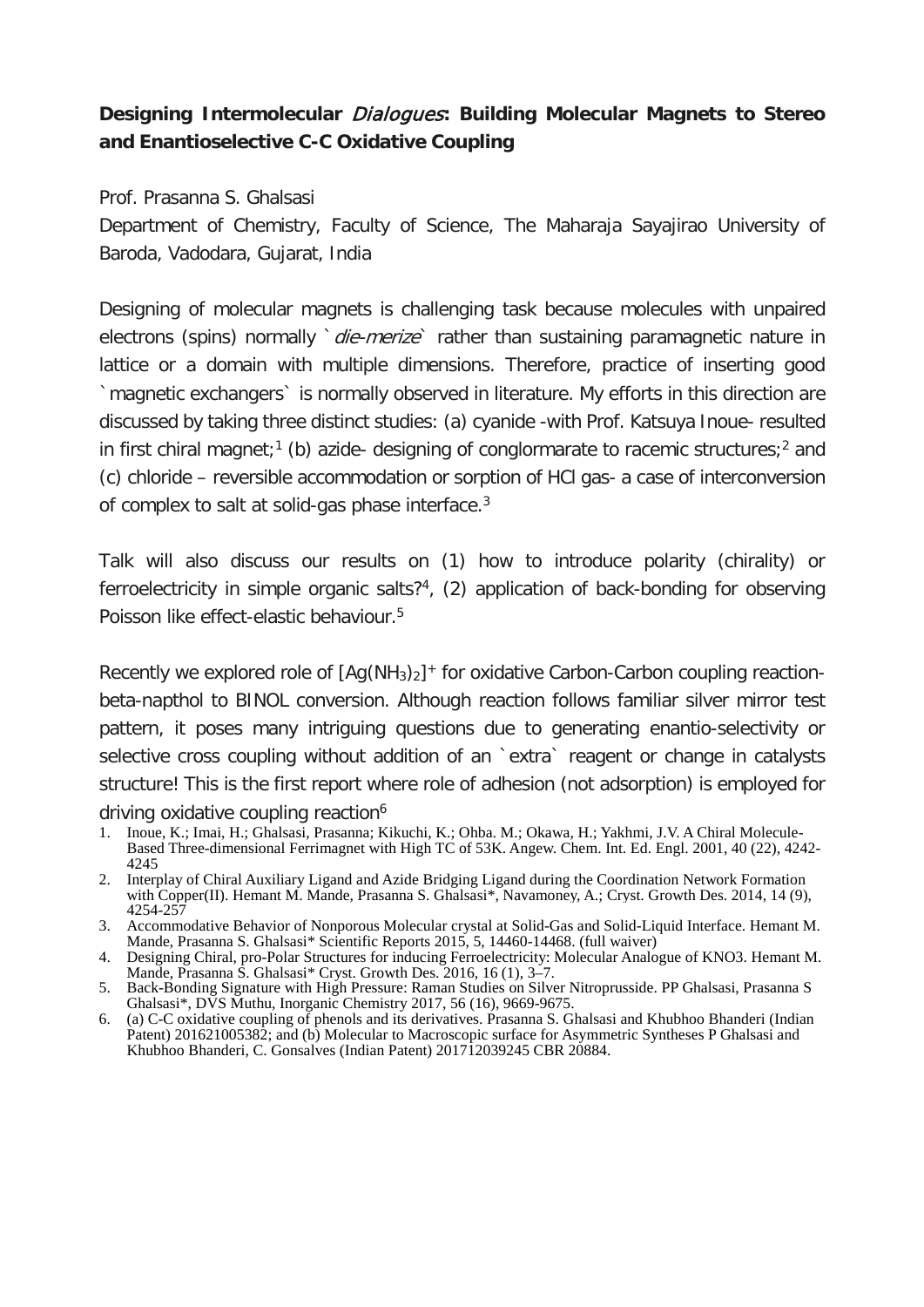## **Designing Intermolecular** Dialogues**: Building Molecular Magnets to Stereo and Enantioselective C-C Oxidative Coupling**

Prof. Prasanna S. Ghalsasi

Department of Chemistry, Faculty of Science, The Maharaja Sayajirao University of Baroda, Vadodara, Gujarat, India

Designing of molecular magnets is challenging task because molecules with unpaired electrons (spins) normally die-merize rather than sustaining paramagnetic nature in lattice or a domain with multiple dimensions. Therefore, practice of inserting good `magnetic exchangers` is normally observed in literature. My efforts in this direction are discussed by taking three distinct studies: (a) cyanide -with Prof. Katsuya Inoue- resulted in first chiral magnet;<sup>1</sup> (b) azide- designing of conglormarate to racemic structures;<sup>2</sup> and (c) chloride – reversible accommodation or sorption of HCl gas- a case of interconversion of complex to salt at solid-gas phase interface.3

Talk will also discuss our results on (1) how to introduce polarity (chirality) or ferroelectricity in simple organic salts?<sup>4</sup>, (2) application of back-bonding for observing Poisson like effect-elastic behaviour.5

Recently we explored role of  $[Aq(NH_3)_2]^+$  for oxidative Carbon-Carbon coupling reactionbeta-napthol to BINOL conversion. Although reaction follows familiar silver mirror test pattern, it poses many intriguing questions due to generating enantio-selectivity or selective cross coupling without addition of an 'extra' reagent or change in catalysts structure! This is the first report where role of adhesion (not adsorption) is employed for driving oxidative coupling reaction<sup>6</sup>

- 1. Inoue, K.; Imai, H.; Ghalsasi, Prasanna; Kikuchi, K.; Ohba. M.; Okawa, H.; Yakhmi, J.V. A Chiral Molecule-Based Three-dimensional Ferrimagnet with High TC of 53K. Angew. Chem. Int. Ed. Engl. 2001, 40 (22), 4242- <sup>4245</sup>
- 2. Interplay of Chiral Auxiliary Ligand and Azide Bridging Ligand during the Coordination Network Formation with Copper(II). Hemant M. Mande, Prasanna S. Ghalsasi<sup>\*</sup>, Navamoney, A.; Cryst. Growth Des. 2014, 14 (9), 4254-257
- 3. Accommodative Behavior of Nonporous Molecular crystal at Solid-Gas and Solid-Liquid Interface. Hemant M. Mande, Prasanna S. Ghalsasi\* Scientific Reports 2015, 5, 14460-14468. (full waiver)
- 4. Designing Chiral, pro-Polar Structures for inducing Ferroelectricity: Molecular Analogue of KNO3. Hemant M. Mande, Prasanna S. Ghalsasi\* Cryst. Growth Des. 2016, 16 (1), 3–7.
- 5. Back-Bonding Signature with High Pressure: Raman Studies on Silver Nitroprusside. PP Ghalsasi, Prasanna S Ghalsasi\*, DVS Muthu, Inorganic Chemistry 2017, 56 (16), 9669-9675.
- 6. (a) C-C oxidative coupling of phenols and its derivatives. Prasanna S. Ghalsasi and Khubhoo Bhanderi (Indian Patent) 201621005382; and (b) Molecular to Macroscopic surface for Asymmetric Syntheses P Ghalsasi and Khubhoo Bhanderi, C. Gonsalves (Indian Patent) 201712039245 CBR 20884.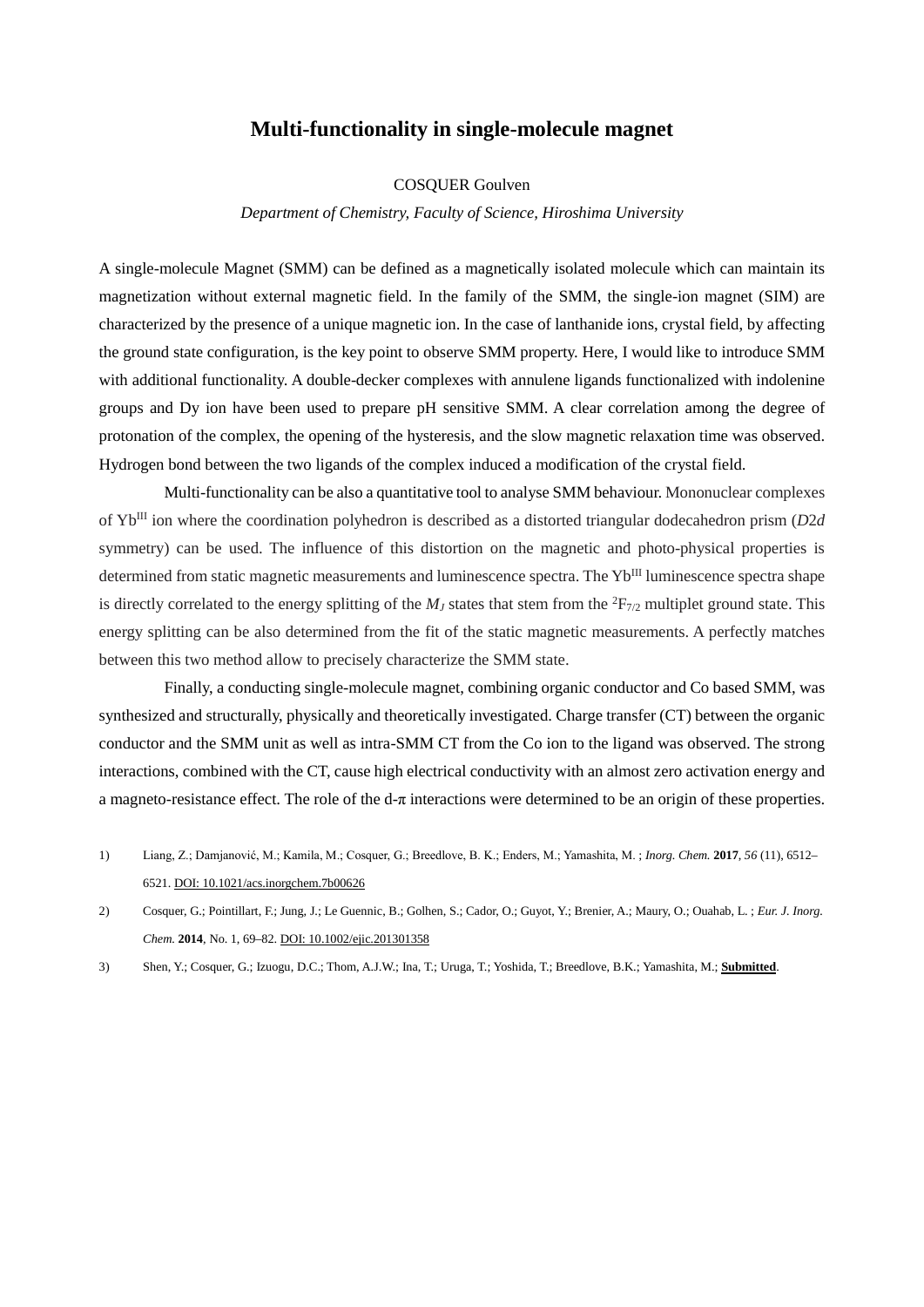#### **Multi-functionality in single-molecule magnet**

#### COSQUER Goulven

*Department of Chemistry, Faculty of Science, Hiroshima University*

A single-molecule Magnet (SMM) can be defined as a magnetically isolated molecule which can maintain its magnetization without external magnetic field. In the family of the SMM, the single-ion magnet (SIM) are characterized by the presence of a unique magnetic ion. In the case of lanthanide ions, crystal field, by affecting the ground state configuration, is the key point to observe SMM property. Here, I would like to introduce SMM with additional functionality. A double-decker complexes with annulene ligands functionalized with indolenine groups and Dy ion have been used to prepare pH sensitive SMM. A clear correlation among the degree of protonation of the complex, the opening of the hysteresis, and the slow magnetic relaxation time was observed. Hydrogen bond between the two ligands of the complex induced a modification of the crystal field.

Multi-functionality can be also a quantitative tool to analyse SMM behaviour. Mononuclear complexes of YbIII ion where the coordination polyhedron is described as a distorted triangular dodecahedron prism (*D*2*d*  symmetry) can be used. The influence of this distortion on the magnetic and photo-physical properties is determined from static magnetic measurements and luminescence spectra. The Yb<sup>III</sup> luminescence spectra shape is directly correlated to the energy splitting of the  $M<sub>J</sub>$  states that stem from the  ${}^{2}F_{7/2}$  multiplet ground state. This energy splitting can be also determined from the fit of the static magnetic measurements. A perfectly matches between this two method allow to precisely characterize the SMM state.

Finally, a conducting single-molecule magnet, combining organic conductor and Co based SMM, was synthesized and structurally, physically and theoretically investigated. Charge transfer (CT) between the organic conductor and the SMM unit as well as intra-SMM CT from the Co ion to the ligand was observed. The strong interactions, combined with the CT, cause high electrical conductivity with an almost zero activation energy and a magneto-resistance effect. The role of the d-π interactions were determined to be an origin of these properties.

- 1) Liang, Z.; Damjanović, M.; Kamila, M.; Cosquer, G.; Breedlove, B. K.; Enders, M.; Yamashita, M. ; *Inorg. Chem.* **2017**, *56* (11), 6512– 6521. DOI: 10.1021/acs.inorgchem.7b00626
- 2) Cosquer, G.; Pointillart, F.; Jung, J.; Le Guennic, B.; Golhen, S.; Cador, O.; Guyot, Y.; Brenier, A.; Maury, O.; Ouahab, L. ; *Eur. J. Inorg. Chem.* **2014**, No. 1, 69–82. DOI: 10.1002/ejic.201301358
- 3) Shen, Y.; Cosquer, G.; Izuogu, D.C.; Thom, A.J.W.; Ina, T.; Uruga, T.; Yoshida, T.; Breedlove, B.K.; Yamashita, M.; **Submitted**.